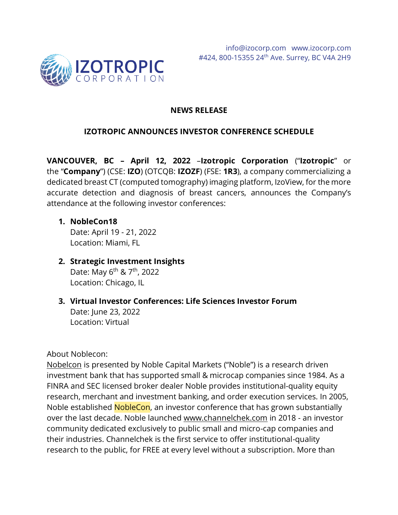

# **NEWS RELEASE**

# **IZOTROPIC ANNOUNCES INVESTOR CONFERENCE SCHEDULE**

**VANCOUVER, BC – April 12, 2022** –**Izotropic Corporation** ("**Izotropic**" or the "**Company**") (CSE: **IZO**) (OTCQB: **IZOZF**) (FSE: **1R3**), a company commercializing a dedicated breast CT (computed tomography) imaging platform, IzoView, for the more accurate detection and diagnosis of breast cancers, announces the Company's attendance at the following investor conferences:

#### **1. NobleCon18**

Date: April 19 - 21, 2022 Location: Miami, FL

- **2. Strategic Investment Insights** Date: May 6<sup>th</sup> & 7<sup>th</sup>, 2022 Location: Chicago, IL
- **3. Virtual Investor Conferences: Life Sciences Investor Forum** Date: June 23, 2022 Location: Virtual

About Noblecon:

[Nobelcon](https://www.nobleconference.com/eighteen) is presented by Noble Capital Markets ("Noble") is a research driven investment bank that has supported small & microcap companies since 1984. As a FINRA and SEC licensed broker dealer Noble provides institutional-quality equity research, merchant and investment banking, and order execution services. In 2005, Noble established **NobleCon**, an investor conference that has grown substantially over the last decade. Noble launched [www.channelchek.com](https://url.emailprotection.link/?bWq_5_AjM5L398Fa96Jig4dBGCpNph4dOjDM8bEkq03PK6Vd3LO1qLGeqdU8WT1x0yJnHF0SWrbjwdb__ZIqnzw~~) in 2018 - an investor community dedicated exclusively to public small and micro-cap companies and their industries. Channelchek is the first service to offer institutional-quality research to the public, for FREE at every level without a subscription. More than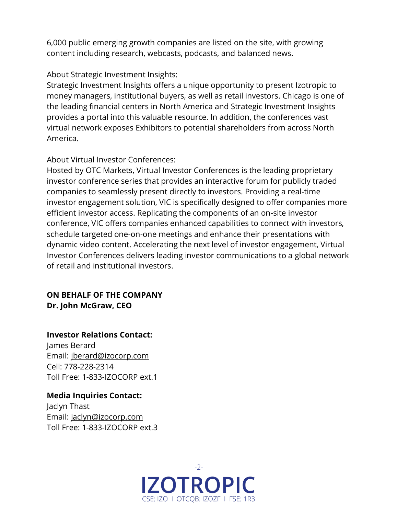6,000 public emerging growth companies are listed on the site, with growing content including research, webcasts, podcasts, and balanced news.

### About Strategic Investment Insights:

[Strategic Investment Insights](https://strategicinvestmentinsights.com/) offers a unique opportunity to present Izotropic to money managers, institutional buyers, as well as retail investors. Chicago is one of the leading financial centers in North America and Strategic Investment Insights provides a portal into this valuable resource. In addition, the conferences vast virtual network exposes Exhibitors to potential shareholders from across North America.

# About Virtual Investor Conferences:

Hosted by OTC Markets, [Virtual Investor Conferences](https://www.virtualinvestorconferences.com/welcome) is the leading proprietary investor conference series that provides an interactive forum for publicly traded companies to seamlessly present directly to investors. Providing a real-time investor engagement solution, VIC is specifically designed to offer companies more efficient investor access. Replicating the components of an on-site investor conference, VIC offers companies enhanced capabilities to connect with investors, schedule targeted one-on-one meetings and enhance their presentations with dynamic video content. Accelerating the next level of investor engagement, Virtual Investor Conferences delivers leading investor communications to a global network of retail and institutional investors.

### **ON BEHALF OF THE COMPANY Dr. John McGraw, CEO**

# **Investor Relations Contact:**

James Berard Email: [jberard@izocorp.com](mailto:jberard@izocorp.com) Cell: 778-228-2314 Toll Free: 1-833-IZOCORP ext.1

**Media Inquiries Contact:** Jaclyn Thast Email: [jaclyn@izocorp.com](mailto:jaclyn@izocorp.com) Toll Free: 1-833-IZOCORP ext.3